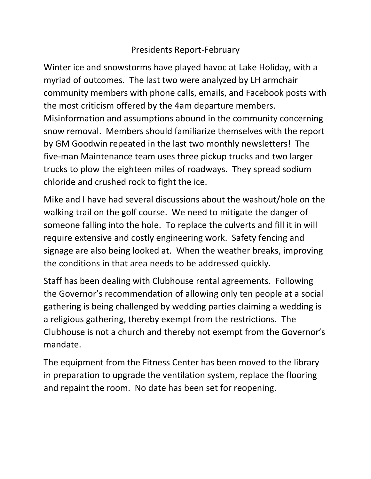## Presidents Report-February

Winter ice and snowstorms have played havoc at Lake Holiday, with a myriad of outcomes. The last two were analyzed by LH armchair community members with phone calls, emails, and Facebook posts with the most criticism offered by the 4am departure members. Misinformation and assumptions abound in the community concerning snow removal. Members should familiarize themselves with the report by GM Goodwin repeated in the last two monthly newsletters! The five-man Maintenance team uses three pickup trucks and two larger trucks to plow the eighteen miles of roadways. They spread sodium chloride and crushed rock to fight the ice.

Mike and I have had several discussions about the washout/hole on the walking trail on the golf course. We need to mitigate the danger of someone falling into the hole. To replace the culverts and fill it in will require extensive and costly engineering work. Safety fencing and signage are also being looked at. When the weather breaks, improving the conditions in that area needs to be addressed quickly.

Staff has been dealing with Clubhouse rental agreements. Following the Governor's recommendation of allowing only ten people at a social gathering is being challenged by wedding parties claiming a wedding is a religious gathering, thereby exempt from the restrictions. The Clubhouse is not a church and thereby not exempt from the Governor's mandate.

The equipment from the Fitness Center has been moved to the library in preparation to upgrade the ventilation system, replace the flooring and repaint the room. No date has been set for reopening.